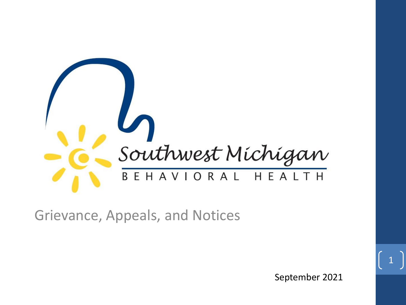

Grievance, Appeals, and Notices

September 2021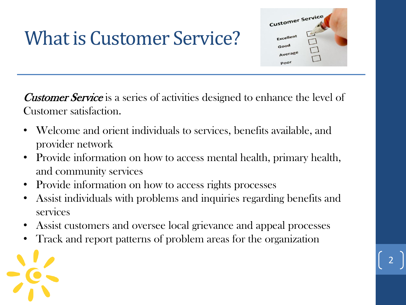## What is Customer Service?

Lustomer Service poor

**Customer Service** is a series of activities designed to enhance the level of Customer satisfaction.

- Welcome and orient individuals to services, benefits available, and provider network
- Provide information on how to access mental health, primary health, and community services
- Provide information on how to access rights processes
- Assist individuals with problems and inquiries regarding benefits and services
- Assist customers and oversee local grievance and appeal processes
- Track and report patterns of problem areas for the organization

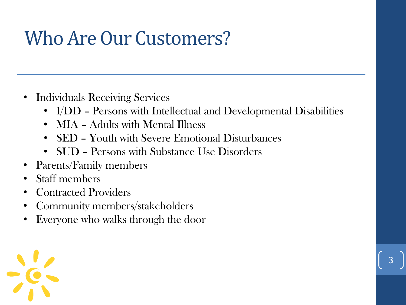## Who Are Our Customers?

- Individuals Receiving Services
	- I/DD Persons with Intellectual and Developmental Disabilities

- MIA Adults with Mental Illness
- SED Youth with Severe Emotional Disturbances
- SUD Persons with Substance Use Disorders
- Parents/Family members
- Staff members
- Contracted Providers
- Community members/stakeholders
- Everyone who walks through the door

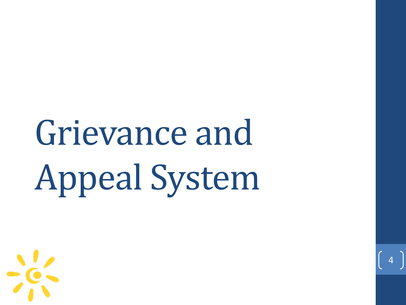# Grievance and Appeal System

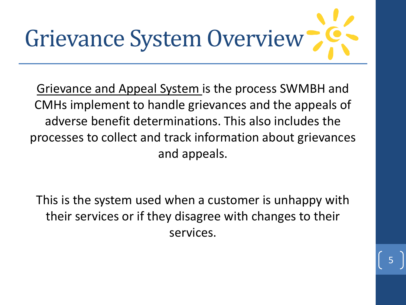

Grievance and Appeal System is the process SWMBH and CMHs implement to handle grievances and the appeals of adverse benefit determinations. This also includes the processes to collect and track information about grievances and appeals.

This is the system used when a customer is unhappy with their services or if they disagree with changes to their services.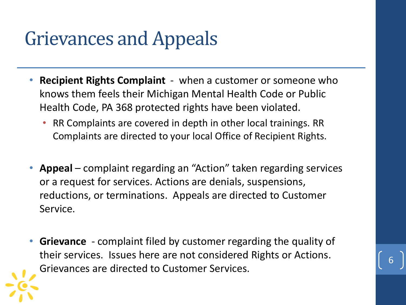## Grievances and Appeals

- **Recipient Rights Complaint**  when a customer or someone who knows them feels their Michigan Mental Health Code or Public Health Code, PA 368 protected rights have been violated.
	- RR Complaints are covered in depth in other local trainings. RR Complaints are directed to your local Office of Recipient Rights.
- **Appeal** complaint regarding an "Action" taken regarding services or a request for services. Actions are denials, suspensions, reductions, or terminations. Appeals are directed to Customer Service.
- **Grievance**  complaint filed by customer regarding the quality of their services. Issues here are not considered Rights or Actions. Grievances are directed to Customer Services.

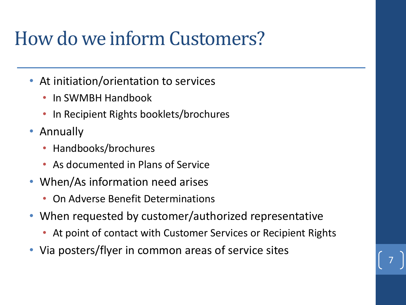## How do we inform Customers?

- At initiation/orientation to services
	- In SWMBH Handbook
	- In Recipient Rights booklets/brochures
- Annually
	- Handbooks/brochures
	- As documented in Plans of Service
- When/As information need arises
	- On Adverse Benefit Determinations
- When requested by customer/authorized representative
	- At point of contact with Customer Services or Recipient Rights

7

• Via posters/flyer in common areas of service sites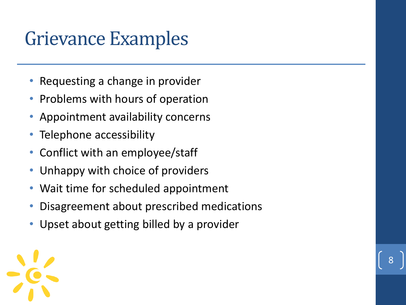## Grievance Examples

- Requesting a change in provider
- Problems with hours of operation
- Appointment availability concerns
- Telephone accessibility
- Conflict with an employee/staff
- Unhappy with choice of providers
- Wait time for scheduled appointment
- Disagreement about prescribed medications

8

• Upset about getting billed by a provider

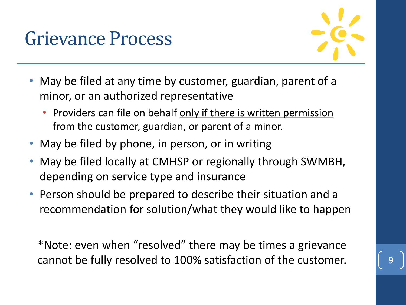### Grievance Process



- May be filed at any time by customer, guardian, parent of a minor, or an authorized representative
	- Providers can file on behalf only if there is written permission from the customer, guardian, or parent of a minor.
- May be filed by phone, in person, or in writing
- May be filed locally at CMHSP or regionally through SWMBH, depending on service type and insurance
- Person should be prepared to describe their situation and a recommendation for solution/what they would like to happen

\*Note: even when "resolved" there may be times a grievance cannot be fully resolved to 100% satisfaction of the customer.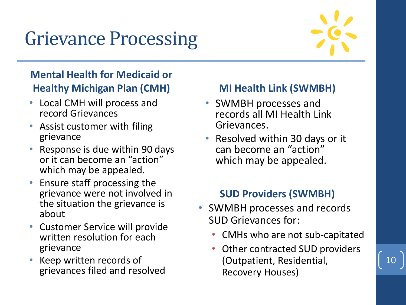## Grievance Processing



10

### **Mental Health for Medicaid or Healthy Michigan Plan (CMH)**

- Local CMH will process and record Grievances
- Assist customer with filing grievance
- Response is due within 90 days or it can become an "action" which may be appealed.
- Ensure staff processing the grievance were not involved in the situation the grievance is about
- Customer Service will provide written resolution for each grievance
- Keep written records of grievances filed and resolved

#### **MI Health Link (SWMBH)**

- SWMBH processes and records all MI Health Link Grievances.
- Resolved within 30 days or it can become an "action" which may be appealed.

### **SUD Providers (SWMBH)**

- SWMBH processes and records SUD Grievances for:
	- CMHs who are not sub-capitated
	- Other contracted SUD providers (Outpatient, Residential, Recovery Houses)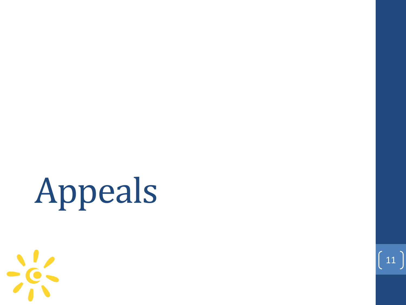# Appeals



 $\begin{pmatrix} 11 \end{pmatrix}$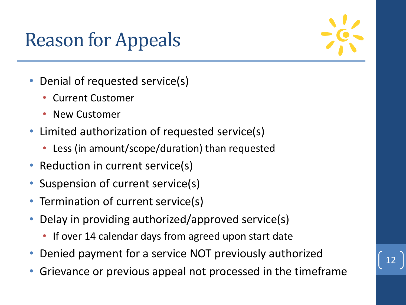## Reason for Appeals



- Denial of requested service(s)
	- Current Customer
	- New Customer
- Limited authorization of requested service(s)
	- Less (in amount/scope/duration) than requested
- Reduction in current service(s)
- Suspension of current service(s)
- Termination of current service(s)
- Delay in providing authorized/approved service(s)
	- If over 14 calendar days from agreed upon start date
- Denied payment for a service NOT previously authorized
- Grievance or previous appeal not processed in the timeframe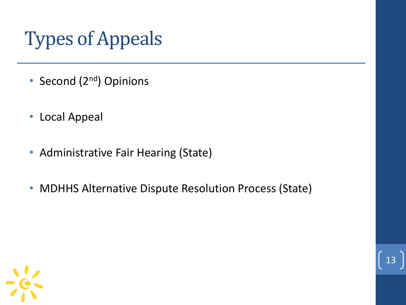## Types of Appeals

- Second (2<sup>nd</sup>) Opinions
- Local Appeal
- Administrative Fair Hearing (State)
- MDHHS Alternative Dispute Resolution Process (State)

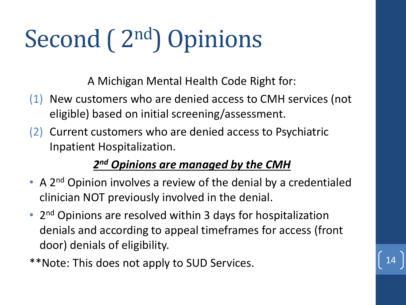# Second (2<sup>nd</sup>) Opinions

A Michigan Mental Health Code Right for:

- (1) New customers who are denied access to CMH services (not eligible) based on initial screening/assessment.
- (2) Current customers who are denied access to Psychiatric Inpatient Hospitalization.

### *2 nd Opinions are managed by the CMH*

- A 2<sup>nd</sup> Opinion involves a review of the denial by a credentialed clinician NOT previously involved in the denial.
- 2<sup>nd</sup> Opinions are resolved within 3 days for hospitalization denials and according to appeal timeframes for access (front door) denials of eligibility.

\*\*Note: This does not apply to SUD Services.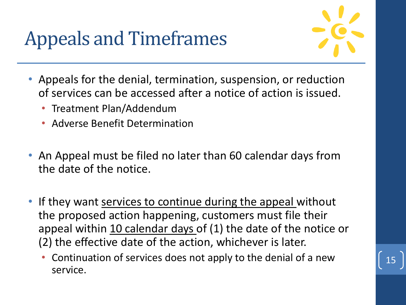## Appeals and Timeframes



- Appeals for the denial, termination, suspension, or reduction of services can be accessed after a notice of action is issued.
	- Treatment Plan/Addendum
	- Adverse Benefit Determination
- An Appeal must be filed no later than 60 calendar days from the date of the notice.
- If they want services to continue during the appeal without the proposed action happening, customers must file their appeal within 10 calendar days of (1) the date of the notice or (2) the effective date of the action, whichever is later.
	- Continuation of services does not apply to the denial of a new service.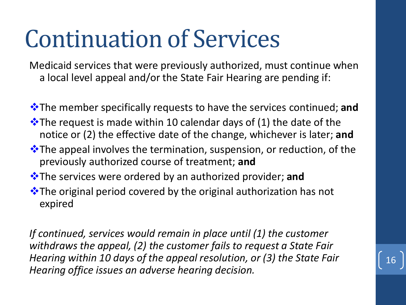# Continuation of Services

Medicaid services that were previously authorized, must continue when a local level appeal and/or the State Fair Hearing are pending if:

- ❖The member specifically requests to have the services continued; **and**
- $\cdot$  The request is made within 10 calendar days of (1) the date of the notice or (2) the effective date of the change, whichever is later; **and**
- ❖The appeal involves the termination, suspension, or reduction, of the previously authorized course of treatment; **and**
- ❖The services were ordered by an authorized provider; **and**
- ❖The original period covered by the original authorization has not expired

*If continued, services would remain in place until (1) the customer withdraws the appeal, (2) the customer fails to request a State Fair Hearing within 10 days of the appeal resolution, or (3) the State Fair Hearing office issues an adverse hearing decision.*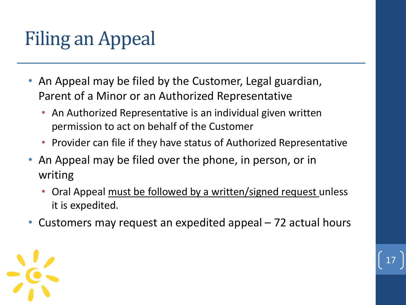## Filing an Appeal

- An Appeal may be filed by the Customer, Legal guardian, Parent of a Minor or an Authorized Representative
	- An Authorized Representative is an individual given written permission to act on behalf of the Customer
	- Provider can file if they have status of Authorized Representative
- An Appeal may be filed over the phone, in person, or in writing
	- Oral Appeal must be followed by a written/signed request unless it is expedited.

17

• Customers may request an expedited appeal – 72 actual hours

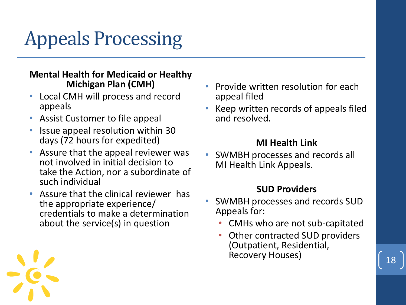## Appeals Processing

#### **Mental Health for Medicaid or Healthy Michigan Plan (CMH)**

- Local CMH will process and record appeals
- Assist Customer to file appeal
- Issue appeal resolution within 30 days (72 hours for expedited)
- Assure that the appeal reviewer was not involved in initial decision to take the Action, nor a subordinate of such individual
- Assure that the clinical reviewer has the appropriate experience/ credentials to make a determination about the service(s) in question
- Provide written resolution for each appeal filed
- Keep written records of appeals filed and resolved.

#### **MI Health Link**

• SWMBH processes and records all MI Health Link Appeals.

#### **SUD Providers**

- SWMBH processes and records SUD Appeals for:
	- CMHs who are not sub-capitated
	- Other contracted SUD providers (Outpatient, Residential, Recovery Houses)



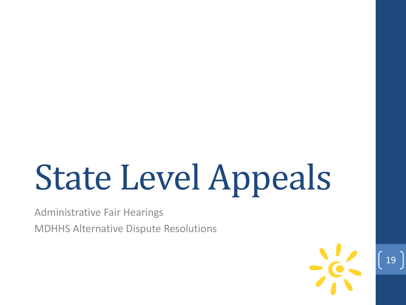# State Level Appeals

Administrative Fair Hearings

MDHHS Alternative Dispute Resolutions

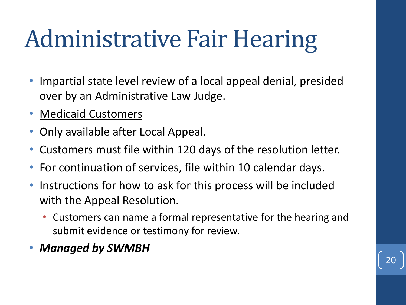# Administrative Fair Hearing

- Impartial state level review of a local appeal denial, presided over by an Administrative Law Judge.
- Medicaid Customers
- Only available after Local Appeal.
- Customers must file within 120 days of the resolution letter.
- For continuation of services, file within 10 calendar days.
- Instructions for how to ask for this process will be included with the Appeal Resolution.
	- Customers can name a formal representative for the hearing and submit evidence or testimony for review.
- *Managed by SWMBH*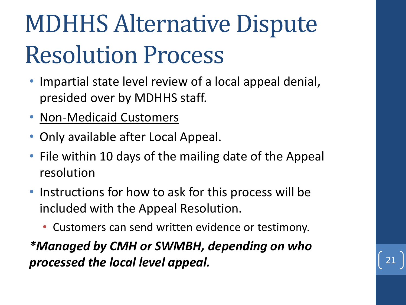# MDHHS Alternative Dispute Resolution Process

- Impartial state level review of a local appeal denial, presided over by MDHHS staff.
- Non-Medicaid Customers
- Only available after Local Appeal.
- File within 10 days of the mailing date of the Appeal resolution
- Instructions for how to ask for this process will be included with the Appeal Resolution.
	- Customers can send written evidence or testimony.

*\*Managed by CMH or SWMBH, depending on who processed the local level appeal.*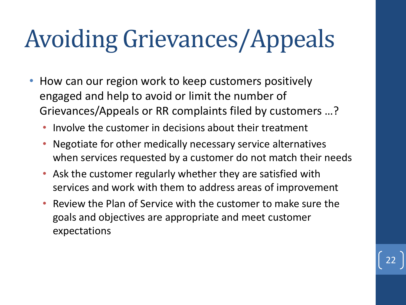# Avoiding Grievances/Appeals

- How can our region work to keep customers positively engaged and help to avoid or limit the number of Grievances/Appeals or RR complaints filed by customers …?
	- Involve the customer in decisions about their treatment
	- Negotiate for other medically necessary service alternatives when services requested by a customer do not match their needs
	- Ask the customer regularly whether they are satisfied with services and work with them to address areas of improvement
	- Review the Plan of Service with the customer to make sure the goals and objectives are appropriate and meet customer expectations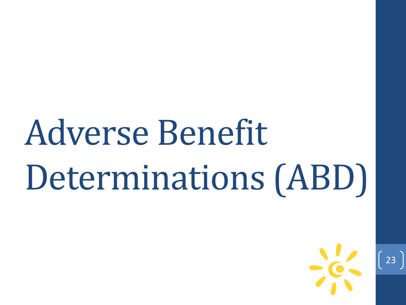# Adverse Benefit Determinations (ABD)

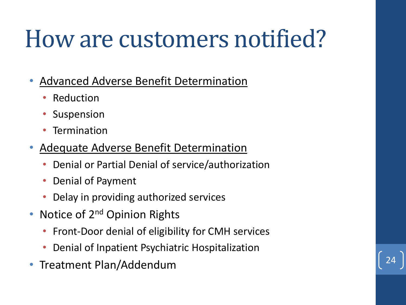# How are customers notified?

- Advanced Adverse Benefit Determination
	- **Reduction**
	- Suspension
	- **Termination**
- Adequate Adverse Benefit Determination
	- Denial or Partial Denial of service/authorization
	- Denial of Payment
	- Delay in providing authorized services
- Notice of 2<sup>nd</sup> Opinion Rights
	- Front-Door denial of eligibility for CMH services
	- Denial of Inpatient Psychiatric Hospitalization
- Treatment Plan/Addendum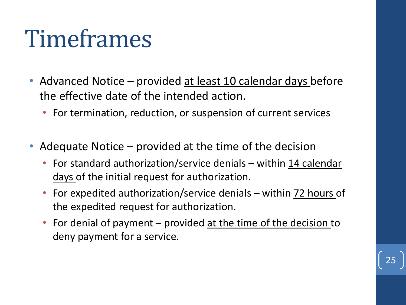# Timeframes

- Advanced Notice provided at least 10 calendar days before the effective date of the intended action.
	- For termination, reduction, or suspension of current services
- Adequate Notice provided at the time of the decision
	- For standard authorization/service denials within 14 calendar days of the initial request for authorization.
	- For expedited authorization/service denials within 72 hours of the expedited request for authorization.
	- For denial of payment provided at the time of the decision to deny payment for a service.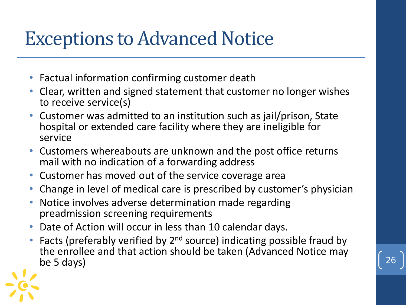### Exceptions to Advanced Notice

- Factual information confirming customer death
- Clear, written and signed statement that customer no longer wishes to receive service(s)
- Customer was admitted to an institution such as jail/prison, State hospital or extended care facility where they are ineligible for service
- Customers whereabouts are unknown and the post office returns mail with no indication of a forwarding address
- Customer has moved out of the service coverage area
- Change in level of medical care is prescribed by customer's physician
- Notice involves adverse determination made regarding preadmission screening requirements
- Date of Action will occur in less than 10 calendar days.
- Facts (preferably verified by  $2^{nd}$  source) indicating possible fraud by the enrollee and that action should be taken (Advanced Notice may be 5 days) be 5 days)  $\begin{bmatrix} 26 \end{bmatrix}$

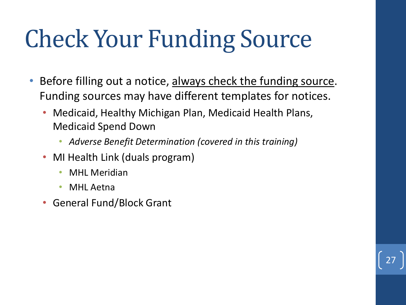# Check Your Funding Source

- Before filling out a notice, always check the funding source. Funding sources may have different templates for notices.
	- Medicaid, Healthy Michigan Plan, Medicaid Health Plans, Medicaid Spend Down
		- *Adverse Benefit Determination (covered in this training)*

- MI Health Link (duals program)
	- MHL Meridian
	- **MHL** Aetna
- General Fund/Block Grant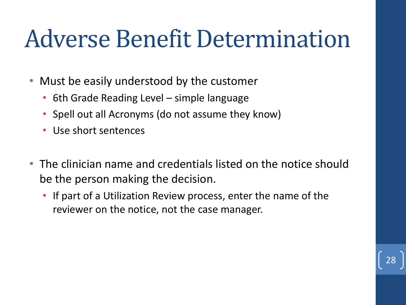# Adverse Benefit Determination

- Must be easily understood by the customer
	- 6th Grade Reading Level simple language
	- Spell out all Acronyms (do not assume they know)
	- Use short sentences
- The clinician name and credentials listed on the notice should be the person making the decision.
	- If part of a Utilization Review process, enter the name of the reviewer on the notice, not the case manager.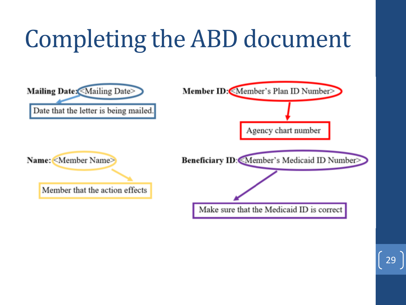# Completing the ABD document

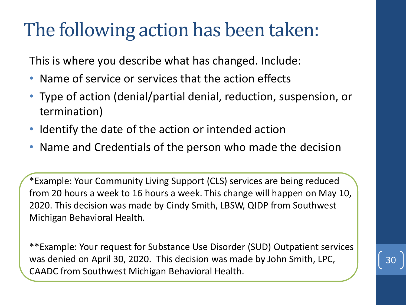### The following action has been taken:

This is where you describe what has changed. Include:

- Name of service or services that the action effects
- Type of action (denial/partial denial, reduction, suspension, or termination)
- Identify the date of the action or intended action
- Name and Credentials of the person who made the decision

\*Example: Your Community Living Support (CLS) services are being reduced from 20 hours a week to 16 hours a week. This change will happen on May 10, 2020. This decision was made by Cindy Smith, LBSW, QIDP from Southwest Michigan Behavioral Health.

\*\*Example: Your request for Substance Use Disorder (SUD) Outpatient services was denied on April 30, 2020. This decision was made by John Smith, LPC, CAADC from Southwest Michigan Behavioral Health.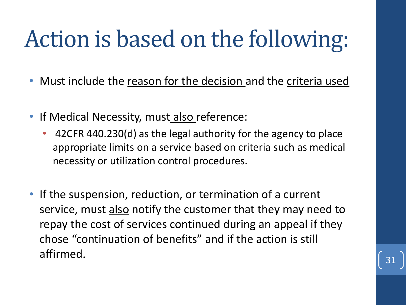# Action is based on the following:

- Must include the reason for the decision and the criteria used
- If Medical Necessity, must also reference:
	- 42CFR 440.230(d) as the legal authority for the agency to place appropriate limits on a service based on criteria such as medical necessity or utilization control procedures.
- If the suspension, reduction, or termination of a current service, must also notify the customer that they may need to repay the cost of services continued during an appeal if they chose "continuation of benefits" and if the action is still  $\int$  affirmed.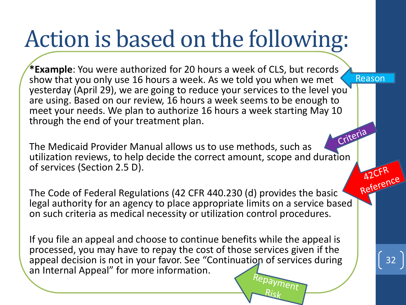# Action is based on the following:

**\*Example**: You were authorized for 20 hours a week of CLS, but records show that you only use 16 hours a week. As we told you when we met yesterday (April 29), we are going to reduce your services to the level you are using. Based on our review, 16 hours a week seems to be enough to meet your needs. We plan to authorize 16 hours a week starting May 10 through the end of your treatment plan.

Criteria The Medicaid Provider Manual allows us to use methods, such as utilization reviews, to help decide the correct amount, scope and duration of services (Section 2.5 D).

A2Critical The Code of Federal Regulations (42 CFR 440.230 (d) provides the basic legal authority for an agency to place appropriate limits on a service based on such criteria as medical necessity or utilization control procedures.

If you file an appeal and choose to continue benefits while the appeal is processed, you may have to repay the cost of those services given if the appeal decision is not in your favor. See "Continuation of services during an Internal Appeal" for more information.

ment

32

Reason

A2CFR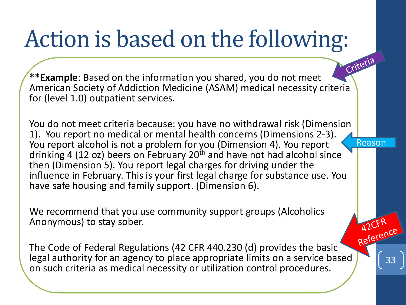## Action is based on the following:

Criteria **\*\*Example**: Based on the information you shared, you do not meet American Society of Addiction Medicine (ASAM) medical necessity criteria for (level 1.0) outpatient services.

You do not meet criteria because: you have no withdrawal risk (Dimension 1). You report no medical or mental health concerns (Dimensions 2-3). You report alcohol is not a problem for you (Dimension 4). You report drinking 4 (12 oz) beers on February 20<sup>th</sup> and have not had alcohol since then (Dimension 5). You report legal charges for driving under the influence in February. This is your first legal charge for substance use. You have safe housing and family support. (Dimension 6). Reason

We recommend that you use community support groups (Alcoholics Anonymous) to stay sober.

AZCFR<br>Reference The Code of Federal Regulations (42 CFR 440.230 (d) provides the basic legal authority for an agency to place appropriate limits on a service based on such criteria as medical necessity or utilization control procedures.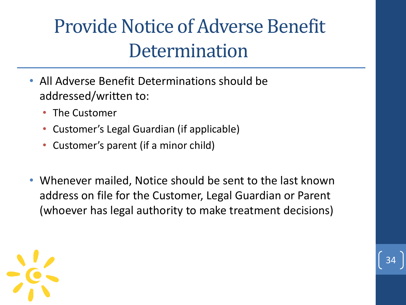## Provide Notice of Adverse Benefit **Determination**

- All Adverse Benefit Determinations should be addressed/written to:
	- The Customer
	- Customer's Legal Guardian (if applicable)
	- Customer's parent (if a minor child)
- Whenever mailed, Notice should be sent to the last known address on file for the Customer, Legal Guardian or Parent (whoever has legal authority to make treatment decisions)

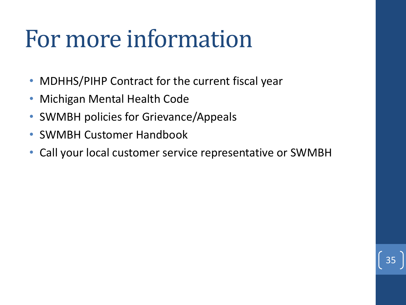# For more information

- MDHHS/PIHP Contract for the current fiscal year
- Michigan Mental Health Code
- SWMBH policies for Grievance/Appeals
- SWMBH Customer Handbook
- Call your local customer service representative or SWMBH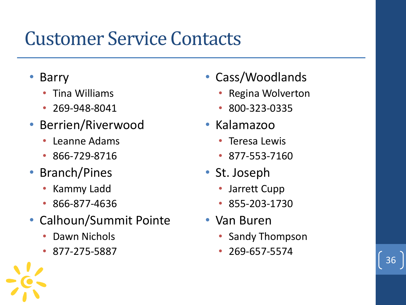## Customer Service Contacts

- Barry
	- Tina Williams
	- 269-948-8041
- Berrien/Riverwood
	- Leanne Adams
	- 866-729-8716
- Branch/Pines
	- Kammy Ladd
	- 866-877-4636
- Calhoun/Summit Pointe
	- Dawn Nichols
	- 877-275-5887
- Cass/Woodlands
	- Regina Wolverton
	- 800-323-0335
- Kalamazoo
	- Teresa Lewis
	- 877-553-7160
- St. Joseph
	- Jarrett Cupp
	- 855-203-1730
- Van Buren
	- Sandy Thompson
	- 269-657-5574